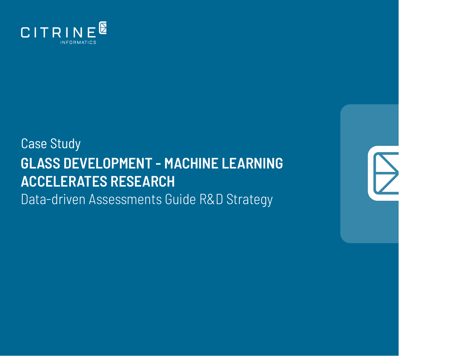

# Case Study **GLASS DEVELOPMENT - MACHINE LEARNING ACCELERATES RESEARCH** Data-driven Assessments Guide R&D Strategy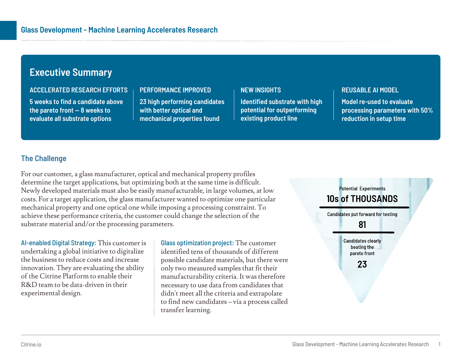## **Executive Summary**

#### **ACCELERATED RESEARCH EFFORTS**

**5 weeks to find a candidate above the pareto front — 8 weeks to evaluate all substrate options**

#### **PERFORMANCE IMPROVED**

**23 high performing candidates with better optical and mechanical properties found**

#### **NEW INSIGHTS**

**Identified substrate with high potential for outperforming existing product line**

#### **REUSABLE AI MODEL**

**Model re-used to evaluate processing parameters with 50% reduction in setup time**

## **The Challenge**

For our customer, a glass manufacturer, optical and mechanical property profiles determine the target applications, but optimizing both at the same time is difficult. Newly developed materials must also be easily manufacturable, in large volumes, at low costs. For a target application, the glass manufacturer wanted to optimize one particular mechanical property and one optical one while imposing a processing constraint. To achieve these performance criteria, the customer could change the selection of the substrate material and/or the processing parameters.

AI-enabled Digital Strategy: This customer is undertaking a global initiative to digitalize the business to reduce costs and increase innovation. They are evaluating the ability of the Citrine Platform to enable their R&D team to be data-driven in their experimental design.

Glass optimization project: The customer identified tens of thousands of different possible candidate materials, but there were only two measured samples that fit their manufacturability criteria. It was therefore necessary to use data from candidates that didn't meet all the criteria and extrapolate to find new candidates – via a process called transfer learning.

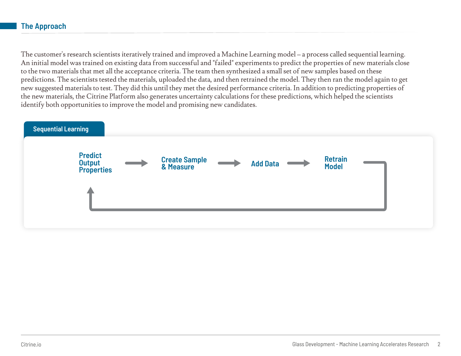## **The Approach**

The customer's research scientists iteratively trained and improved a Machine Learning model – a process called sequential learning. An initial model was trained on existing data from successful and "failed" experiments to predict the properties of new materials close to the two materials that met all the acceptance criteria. The team then synthesized a small set of new samples based on these predictions. The scientists tested the materials, uploaded the data, and then retrained the model. They then ran the model again to get new suggested materials to test. They did this until they met the desired performance criteria. In addition to predicting properties of the new materials, the Citrine Platform also generates uncertainty calculations for these predictions, which helped the scientists identify both opportunities to improve the model and promising new candidates.

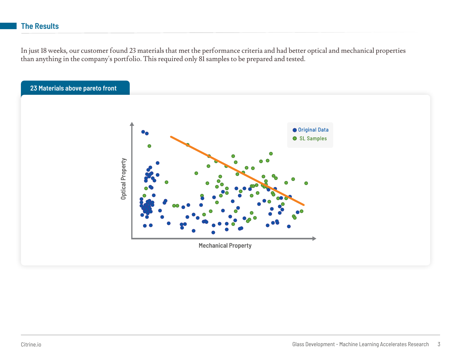In just 18 weeks, our customer found 23 materials that met the performance criteria and had better optical and mechanical properties than anything in the company's portfolio. This required only 81 samples to be prepared and tested.

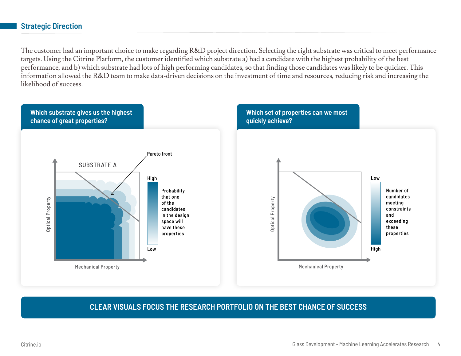### **Strategic Direction**

The customer had an important choice to make regarding R&D project direction. Selecting the right substrate was critical to meet performance targets. Using the Citrine Platform, the customer identified which substrate a) had a candidate with the highest probability of the best performance, and b) which substrate had lots of high performing candidates, so that finding those candidates was likely to be quicker. This information allowed the R&D team to make data-driven decisions on the investment of time and resources, reducing risk and increasing the likelihood of success.



## **CLEAR VISUALS FOCUS THE RESEARCH PORTFOLIO ON THE BEST CHANCE OF SUCCESS**